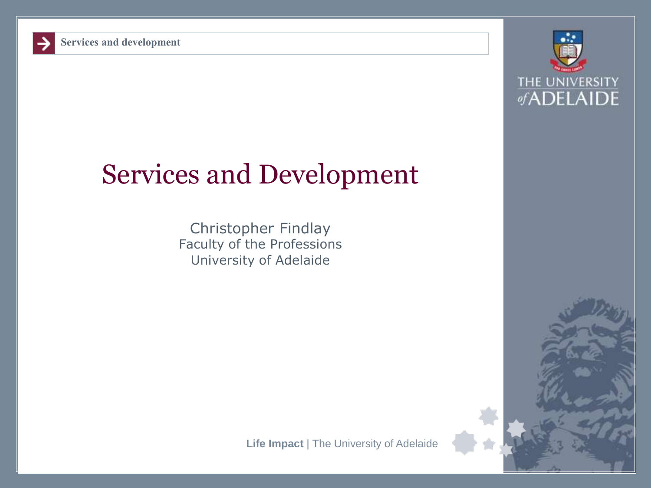

# Services and Development

Christopher Findlay Faculty of the Professions University of Adelaide

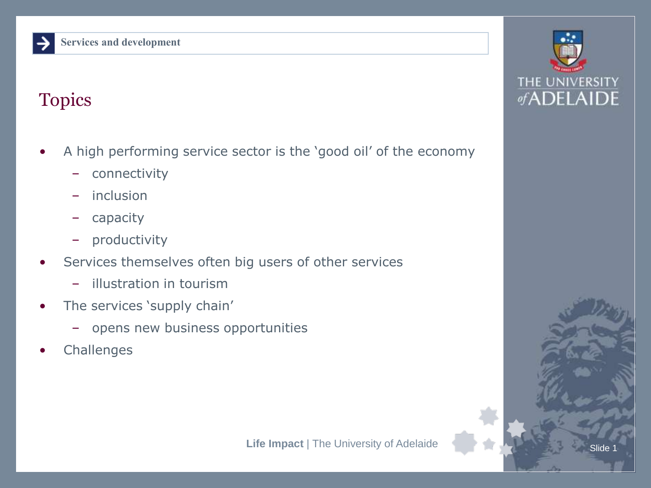#### Topics

- A high performing service sector is the 'good oil' of the economy
	- connectivity
	- inclusion
	- capacity
	- productivity
- Services themselves often big users of other services
	- illustration in tourism
- The services 'supply chain'
	- opens new business opportunities
- **Challenges**

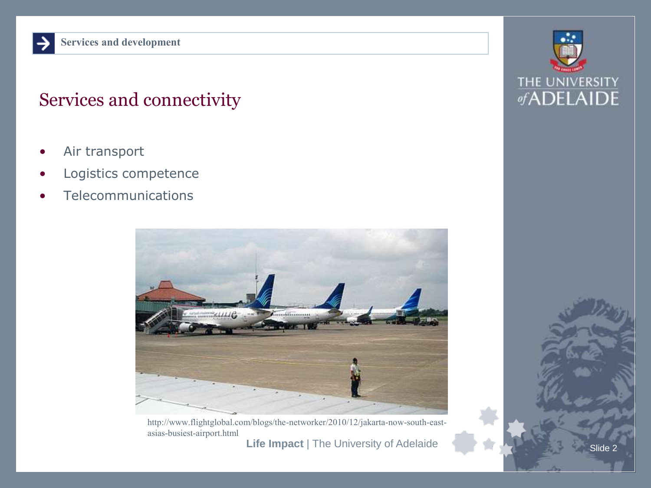#### Services and connectivity

- Air transport
- Logistics competence
- **Telecommunications**



http://www.flightglobal.com/blogs/the-networker/2010/12/jakarta-now-south-eastasias-busiest-airport.html

**Life Impact** | The University of Adelaide

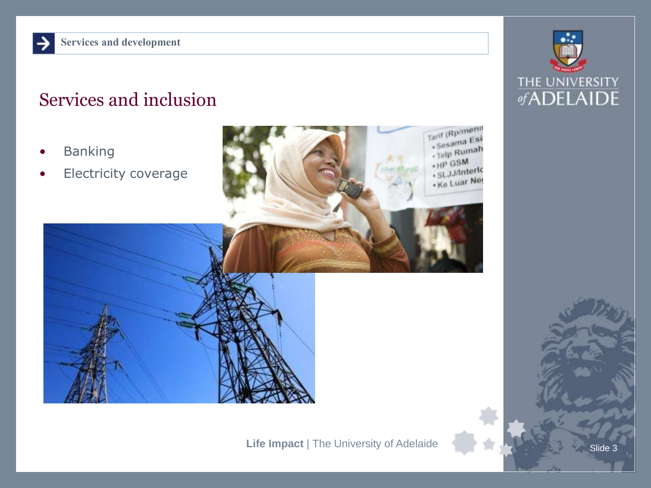## Services and inclusion

- **Banking**
- Electricity coverage



Tarif (Rp/meni) Sesama Esi - Sesame<br>- Telp Rumah . HP GSM SLJJ/Interior . SL. Luar Net

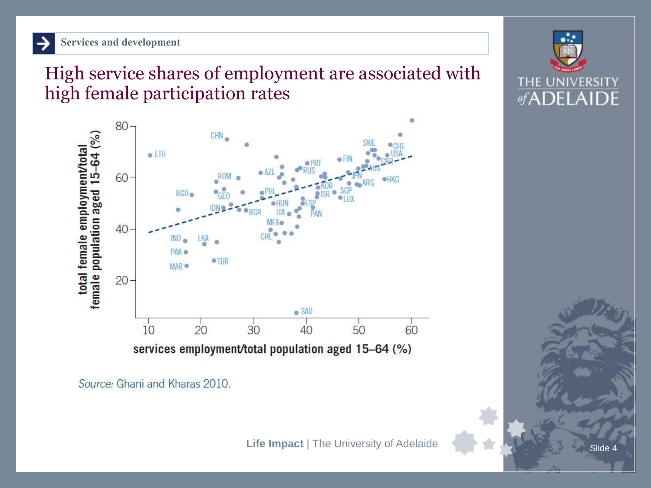High service shares of employment are associated with high female participation rates



Source: Ghani and Kharas 2010.



**Slide**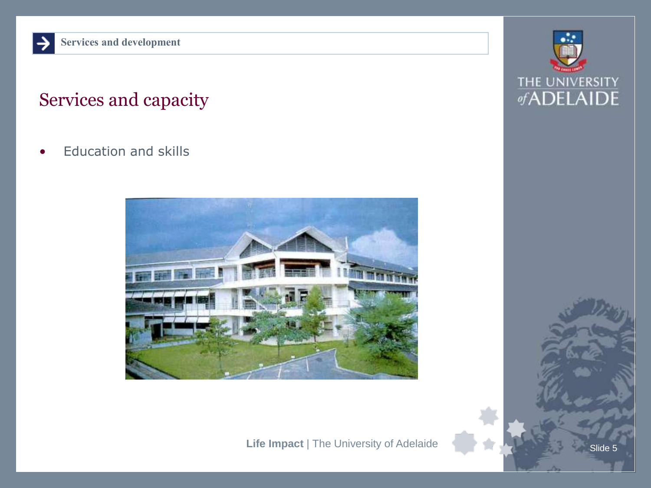## Services and capacity

• Education and skills



**Life Impact** | The University of Adelaide



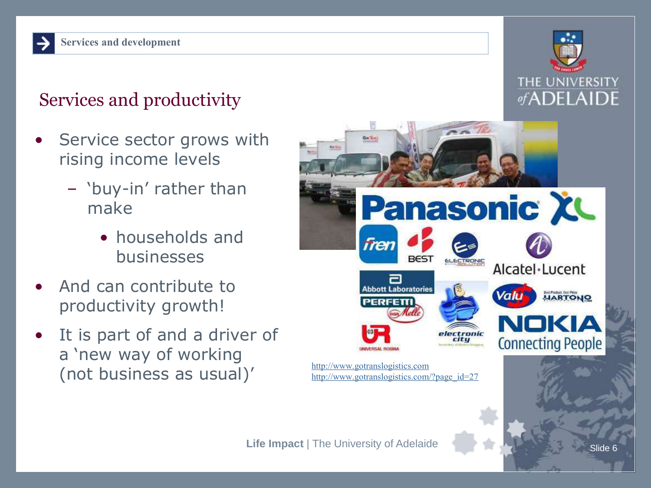## Services and productivity

- Service sector grows with rising income levels
	- 'buy-in' rather than make
		- households and businesses
- And can contribute to productivity growth!
- It is part of and a driver of a 'new way of working (not business as usual)'



Alcatel·Lucent

**HARTONO** 

**Connecting People** 

**Panasonic XL** 

electronic<br>city



[http://www.gotranslogistics.com](http://www.gotranslogistics.com/)

Go. Tax

fren

[http://www.gotranslogistics.com/?page\\_id=27](http://www.gotranslogistics.com/?page_id=27)

**Abbott Laboratories** 

PERFETTI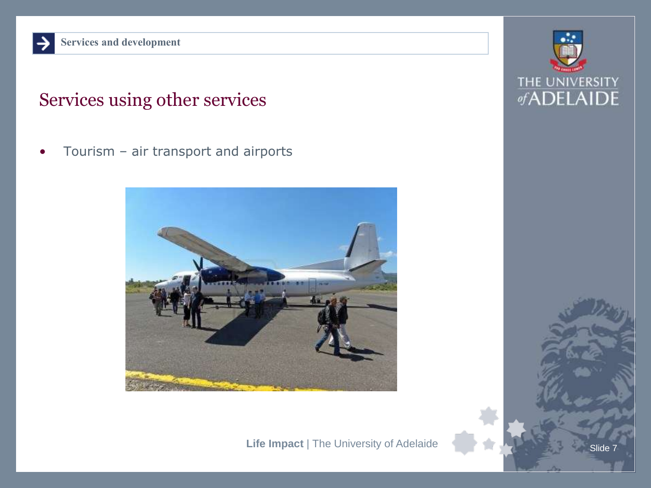#### Services using other services

• Tourism – air transport and airports



**Life Impact** | The University of Adelaide

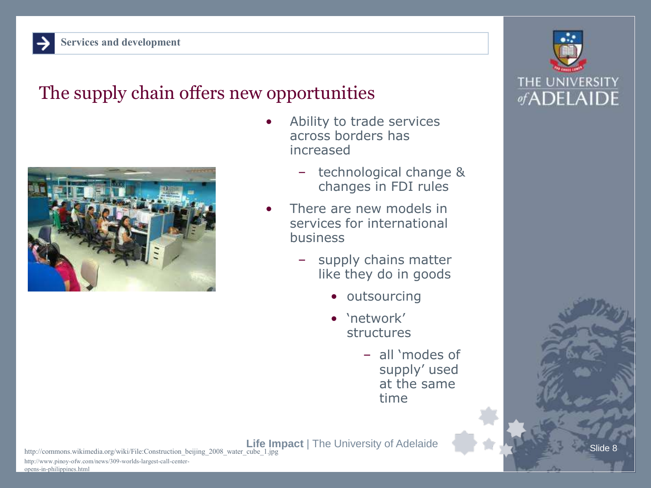#### The supply chain offers new opportunities



- Ability to trade services across borders has increased
	- technological change & changes in FDI rules
- There are new models in services for international business
	- supply chains matter like they do in goods
		- outsourcing
		- 'network' structures
			- all 'modes of supply' used at the same time



http://commons.wikimedia.org/wiki/File:Construction\_beijing\_2008\_water\_cube\_1.jpg

http://www.pinoy-ofw.com/news/309-worlds-largest-call-centeropens-in-philippines.html

Slide 8